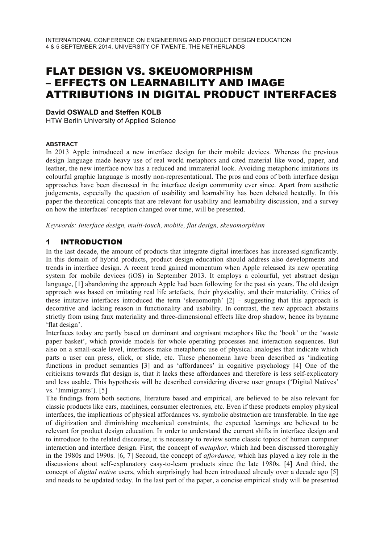# FLAT DESIGN VS. SKEUOMORPHISM – EFFECTS ON LEARNABILITY AND IMAGE ATTRIBUTIONS IN DIGITAL PRODUCT INTERFACES

#### **David OSWALD and Steffen KOLB**

HTW Berlin University of Applied Science

#### **ABSTRACT**

In 2013 Apple introduced a new interface design for their mobile devices. Whereas the previous design language made heavy use of real world metaphors and cited material like wood, paper, and leather, the new interface now has a reduced and immaterial look. Avoiding metaphoric imitations its colourful graphic language is mostly non-representational. The pros and cons of both interface design approaches have been discussed in the interface design community ever since. Apart from aesthetic judgements, especially the question of usability and learnability has been debated heatedly. In this paper the theoretical concepts that are relevant for usability and learnability discussion, and a survey on how the interfaces' reception changed over time, will be presented.

*Keywords: Interface design, multi-touch, mobile, flat design, skeuomorphism*

#### 1 INTRODUCTION

In the last decade, the amount of products that integrate digital interfaces has increased significantly. In this domain of hybrid products, product design education should address also developments and trends in interface design. A recent trend gained momentum when Apple released its new operating system for mobile devices (iOS) in September 2013. It employs a colourful, yet abstract design language, [1] abandoning the approach Apple had been following for the past six years. The old design approach was based on imitating real life artefacts, their physicality, and their materiality. Critics of these imitative interfaces introduced the term 'skeuomorph' [2] – suggesting that this approach is decorative and lacking reason in functionality and usability. In contrast, the new approach abstains strictly from using faux materiality and three-dimensional effects like drop shadow, hence its byname 'flat design'.

Interfaces today are partly based on dominant and cognisant metaphors like the 'book' or the 'waste paper basket', which provide models for whole operating processes and interaction sequences. But also on a small-scale level, interfaces make metaphoric use of physical analogies that indicate which parts a user can press, click, or slide, etc. These phenomena have been described as 'indicating functions in product semantics [3] and as 'affordances' in cognitive psychology [4] One of the criticisms towards flat design is, that it lacks these affordances and therefore is less self-explicatory and less usable. This hypothesis will be described considering diverse user groups ('Digital Natives' vs. 'Immigrants'). [5]

The findings from both sections, literature based and empirical, are believed to be also relevant for classic products like cars, machines, consumer electronics, etc. Even if these products employ physical interfaces, the implications of physical affordances vs. symbolic abstraction are transferable. In the age of digitization and diminishing mechanical constraints, the expected learnings are believed to be relevant for product design education. In order to understand the current shifts in interface design and to introduce to the related discourse, it is necessary to review some classic topics of human computer interaction and interface design. First, the concept of *metaphor,* which had been discussed thoroughly in the 1980s and 1990s. [6, 7] Second, the concept of *affordance,* which has played a key role in the discussions about self-explanatory easy-to-learn products since the late 1980s. [4] And third, the concept of *digital native* users, which surprisingly had been introduced already over a decade ago [5] and needs to be updated today. In the last part of the paper, a concise empirical study will be presented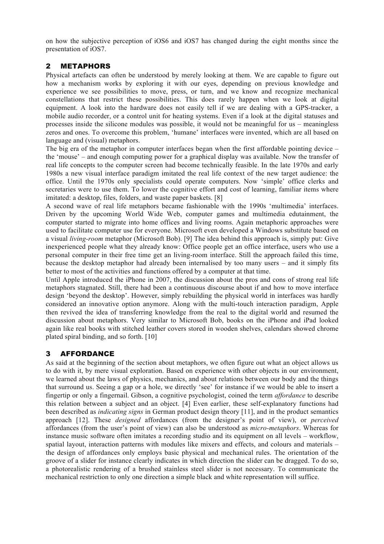on how the subjective perception of iOS6 and iOS7 has changed during the eight months since the presentation of iOS7.

#### 2 METAPHORS

Physical artefacts can often be understood by merely looking at them. We are capable to figure out how a mechanism works by exploring it with our eyes, depending on previous knowledge and experience we see possibilities to move, press, or turn, and we know and recognize mechanical constellations that restrict these possibilities. This does rarely happen when we look at digital equipment. A look into the hardware does not easily tell if we are dealing with a GPS-tracker, a mobile audio recorder, or a control unit for heating systems. Even if a look at the digital statuses and processes inside the silicone modules was possible, it would not be meaningful for us – meaningless zeros and ones. To overcome this problem, 'humane' interfaces were invented, which are all based on language and (visual) metaphors.

The big era of the metaphor in computer interfaces began when the first affordable pointing device – the 'mouse' – and enough computing power for a graphical display was available. Now the transfer of real life concepts to the computer screen had become technically feasible. In the late 1970s and early 1980s a new visual interface paradigm imitated the real life context of the new target audience: the office. Until the 1970s only specialists could operate computers. Now 'simple' office clerks and secretaries were to use them. To lower the cognitive effort and cost of learning, familiar items where imitated: a desktop, files, folders, and waste paper baskets. [8]

A second wave of real life metaphors became fashionable with the 1990s 'multimedia' interfaces. Driven by the upcoming World Wide Web, computer games and multimedia edutainment, the computer started to migrate into home offices and living rooms. Again metaphoric approaches were used to facilitate computer use for everyone. Microsoft even developed a Windows substitute based on a visual *living-room* metaphor (Microsoft Bob). [9] The idea behind this approach is, simply put: Give inexperienced people what they already know: Office people get an office interface, users who use a personal computer in their free time get an living-room interface. Still the approach failed this time, because the desktop metaphor had already been internalised by too many users – and it simply fits better to most of the activities and functions offered by a computer at that time.

Until Apple introduced the iPhone in 2007, the discussion about the pros and cons of strong real life metaphors stagnated. Still, there had been a continuous discourse about if and how to move interface design 'beyond the desktop'. However, simply rebuilding the physical world in interfaces was hardly considered an innovative option anymore. Along with the multi-touch interaction paradigm, Apple then revived the idea of transferring knowledge from the real to the digital world and resumed the discussion about metaphors. Very similar to Microsoft Bob, books on the iPhone and iPad looked again like real books with stitched leather covers stored in wooden shelves, calendars showed chrome plated spiral binding, and so forth. [10]

# 3 AFFORDANCE

As said at the beginning of the section about metaphors, we often figure out what an object allows us to do with it, by mere visual exploration. Based on experience with other objects in our environment, we learned about the laws of physics, mechanics, and about relations between our body and the things that surround us. Seeing a gap or a hole, we directly 'see' for instance if we would be able to insert a fingertip or only a fingernail. Gibson, a cognitive psychologist, coined the term *affordance* to describe this relation between a subject and an object. [4] Even earlier, these self-explanatory functions had been described as *indicating signs* in German product design theory [11], and in the product semantics approach [12]. These *designed* affordances (from the designer's point of view), or *perceived* affordances (from the user's point of view) can also be understood as *micro-metaphors*. Whereas for instance music software often imitates a recording studio and its equipment on all levels – workflow, spatial layout, interaction patterns with modules like mixers and effects, and colours and materials – the design of affordances only employs basic physical and mechanical rules. The orientation of the groove of a slider for instance clearly indicates in which direction the slider can be dragged. To do so, a photorealistic rendering of a brushed stainless steel slider is not necessary. To communicate the mechanical restriction to only one direction a simple black and white representation will suffice.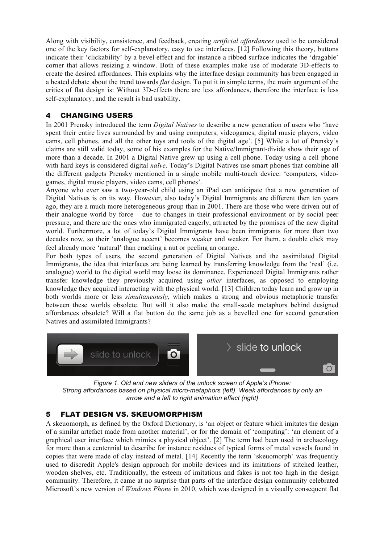Along with visibility, consistence, and feedback, creating *artificial affordances* used to be considered one of the key factors for self-explanatory, easy to use interfaces. [12] Following this theory, buttons indicate their 'clickability' by a bevel effect and for instance a ribbed surface indicates the 'dragable' corner that allows resizing a window. Both of these examples make use of moderate 3D-effects to create the desired affordances. This explains why the interface design community has been engaged in a heated debate about the trend towards *flat* design. To put it in simple terms, the main argument of the critics of flat design is: Without 3D-effects there are less affordances, therefore the interface is less self-explanatory, and the result is bad usability.

#### 4 CHANGING USERS

In 2001 Prensky introduced the term *Digital Natives* to describe a new generation of users who 'have spent their entire lives surrounded by and using computers, videogames, digital music players, video cams, cell phones, and all the other toys and tools of the digital age'. [5] While a lot of Prensky's claims are still valid today, some of his examples for the Native/Immigrant-divide show their age of more than a decade. In 2001 a Digital Native grew up using a cell phone. Today using a cell phone with hard keys is considered digital *naïve*. Today's Digital Natives use smart phones that combine all the different gadgets Prensky mentioned in a single mobile multi-touch device: 'computers, videogames, digital music players, video cams, cell phones'.

Anyone who ever saw a two-year-old child using an iPad can anticipate that a new generation of Digital Natives is on its way. However, also today's Digital Immigrants are different then ten years ago, they are a much more heterogeneous group than in 2001. There are those who were driven out of their analogue world by force – due to changes in their professional environment or by social peer pressure, and there are the ones who immigrated eagerly, attracted by the promises of the new digital world. Furthermore, a lot of today's Digital Immigrants have been immigrants for more than two decades now, so their 'analogue accent' becomes weaker and weaker. For them, a double click may feel already more 'natural' than cracking a nut or peeling an orange.

For both types of users, the second generation of Digital Natives and the assimilated Digital Immigrants, the idea that interfaces are being learned by transferring knowledge from the 'real' (i.e. analogue) world to the digital world may loose its dominance. Experienced Digital Immigrants rather transfer knowledge they previously acquired using *other* interfaces, as opposed to employing knowledge they acquired interacting with the physical world. [13] Children today learn and grow up in both worlds more or less *simultaneously*, which makes a strong and obvious metaphoric transfer between these worlds obsolete. But will it also make the small-scale metaphors behind designed affordances obsolete? Will a flat button do the same job as a bevelled one for second generation Natives and assimilated Immigrants?



*Figure 1. Old and new sliders of the unlock screen of Apple's iPhone: Strong affordances based on physical micro-metaphors (left). Weak affordances by only an arrow and a left to right animation effect (right)*

# 5 FLAT DESIGN VS. SKEUOMORPHISM

A skeuomorph, as defined by the Oxford Dictionary, is 'an object or feature which imitates the design of a similar artefact made from another material', or for the domain of 'computing': 'an element of a graphical user interface which mimics a physical object'. [2] The term had been used in archaeology for more than a centennial to describe for instance residues of typical forms of metal vessels found in copies that were made of clay instead of metal. [14] Recently the term 'skeuomorph' was frequently used to discredit Apple's design approach for mobile devices and its imitations of stitched leather, wooden shelves, etc. Traditionally, the esteem of imitations and fakes is not too high in the design community. Therefore, it came at no surprise that parts of the interface design community celebrated Microsoft's new version of *Windows Phone* in 2010, which was designed in a visually consequent flat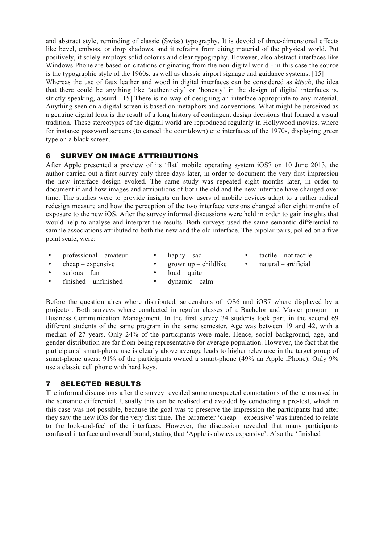and abstract style, reminding of classic (Swiss) typography. It is devoid of three-dimensional effects like bevel, emboss, or drop shadows, and it refrains from citing material of the physical world. Put positively, it solely employs solid colours and clear typography. However, also abstract interfaces like Windows Phone are based on citations originating from the non-digital world - in this case the source is the typographic style of the 1960s, as well as classic airport signage and guidance systems. [15] Whereas the use of faux leather and wood in digital interfaces can be considered as *kitsch*, the idea that there could be anything like 'authenticity' or 'honesty' in the design of digital interfaces is, strictly speaking, absurd. [15] There is no way of designing an interface appropriate to any material. Anything seen on a digital screen is based on metaphors and conventions. What might be perceived as a genuine digital look is the result of a long history of contingent design decisions that formed a visual tradition. These stereotypes of the digital world are reproduced regularly in Hollywood movies, where for instance password screens (to cancel the countdown) cite interfaces of the 1970s, displaying green type on a black screen.

#### 6 SURVEY ON IMAGE ATTRIBUTIONS

After Apple presented a preview of its 'flat' mobile operating system iOS7 on 10 June 2013, the author carried out a first survey only three days later, in order to document the very first impression the new interface design evoked. The same study was repeated eight months later, in order to document if and how images and attributions of both the old and the new interface have changed over time. The studies were to provide insights on how users of mobile devices adapt to a rather radical redesign measure and how the perception of the two interface versions changed after eight months of exposure to the new iOS. After the survey informal discussions were held in order to gain insights that would help to analyse and interpret the results. Both surveys used the same semantic differential to sample associations attributed to both the new and the old interface. The bipolar pairs, polled on a five point scale, were:

- professional amateur
- happy sad
- tactile not tactile
- $\bullet$  cheap expensive
- $\bullet$  grown up childlike loud – quite
- natural artificial
- $\bullet$  serious fun
- finished unfinished
- dynamic calm

Before the questionnaires where distributed, screenshots of iOS6 and iOS7 where displayed by a projector. Both surveys where conducted in regular classes of a Bachelor and Master program in Business Communication Management. In the first survey 34 students took part, in the second 69 different students of the same program in the same semester. Age was between 19 and 42, with a median of 27 years. Only 24% of the participants were male. Hence, social background, age, and gender distribution are far from being representative for average population. However, the fact that the participants' smart-phone use is clearly above average leads to higher relevance in the target group of smart-phone users: 91% of the participants owned a smart-phone (49% an Apple iPhone). Only 9% use a classic cell phone with hard keys.

# 7 SELECTED RESULTS

The informal discussions after the survey revealed some unexpected connotations of the terms used in the semantic differential. Usually this can be realised and avoided by conducting a pre-test, which in this case was not possible, because the goal was to preserve the impression the participants had after they saw the new iOS for the very first time. The parameter 'cheap – expensive' was intended to relate to the look-and-feel of the interfaces. However, the discussion revealed that many participants confused interface and overall brand, stating that 'Apple is always expensive'. Also the 'finished –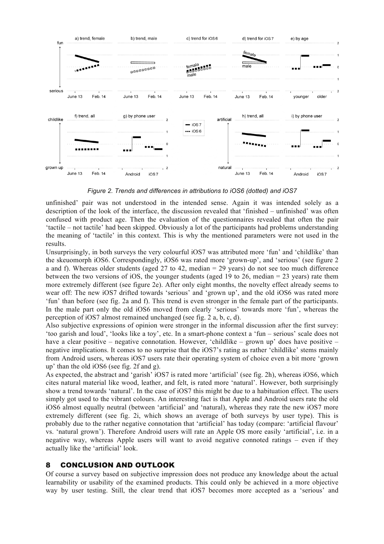

*Figure 2. Trends and differences in attributions to iOS6 (dotted) and iOS7*

unfinished' pair was not understood in the intended sense. Again it was intended solely as a description of the look of the interface, the discussion revealed that 'finished – unfinished' was often confused with product age. Then the evaluation of the questionnaires revealed that often the pair 'tactile – not tactile' had been skipped. Obviously a lot of the participants had problems understanding the meaning of 'tactile' in this context. This is why the mentioned parameters were not used in the results.

Unsurprisingly, in both surveys the very colourful iOS7 was attributed more 'fun' and 'childlike' than the skeuomorph iOS6. Correspondingly, iOS6 was rated more 'grown-up', and 'serious' (see figure 2 a and f). Whereas older students (aged 27 to 42, median = 29 years) do not see too much difference between the two versions of iOS, the younger students (aged 19 to 26, median = 23 years) rate them more extremely different (see figure 2e). After only eight months, the novelty effect already seems to wear off: The new iOS7 drifted towards 'serious' and 'grown up', and the old iOS6 was rated more 'fun' than before (see fig. 2a and f). This trend is even stronger in the female part of the participants. In the male part only the old iOS6 moved from clearly 'serious' towards more 'fun', whereas the perception of iOS7 almost remained unchanged (see fig. 2 a, b, c, d).

Also subjective expressions of opinion were stronger in the informal discussion after the first survey: 'too garish and loud', 'looks like a toy', etc. In a smart-phone context a 'fun – serious' scale does not have a clear positive – negative connotation. However, 'childlike – grown up' does have positive – negative implications. It comes to no surprise that the iOS7's rating as rather 'childlike' stems mainly from Android users, whereas iOS7 users rate their operating system of choice even a bit more 'grown up' than the old iOS6 (see fig. 2f and g).

As expected, the abstract and 'garish' iOS7 is rated more 'artificial' (see fig. 2h), whereas iOS6, which cites natural material like wood, leather, and felt, is rated more 'natural'. However, both surprisingly show a trend towards 'natural'. In the case of iOS7 this might be due to a habituation effect. The users simply got used to the vibrant colours. An interesting fact is that Apple and Android users rate the old iOS6 almost equally neutral (between 'artificial' and 'natural), whereas they rate the new iOS7 more extremely different (see fig. 2i, which shows an average of both surveys by user type). This is probably due to the rather negative connotation that 'artificial' has today (compare: 'artificial flavour' vs. 'natural grown'). Therefore Android users will rate an Apple OS more easily 'artificial', i.e. in a negative way, whereas Apple users will want to avoid negative connoted ratings – even if they actually like the 'artificial' look.

# 8 CONCLUSION AND OUTLOOK

Of course a survey based on subjective impression does not produce any knowledge about the actual learnability or usability of the examined products. This could only be achieved in a more objective way by user testing. Still, the clear trend that iOS7 becomes more accepted as a 'serious' and